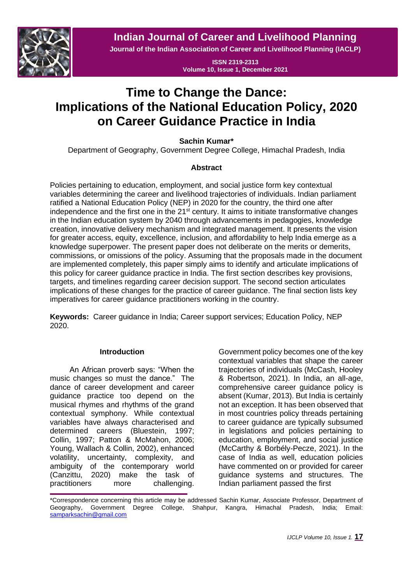**Indian Journal of Career and Livelihood Planning**



**Journal of the Indian Association of Career and Livelihood Planning (IACLP)**

**ISSN 2319-2313 Volume 10, Issue 1, December 2021**

# **Time to Change the Dance: Implications of the National Education Policy, 2020 on Career Guidance Practice in India**

**Sachin Kumar\***

Department of Geography, Government Degree College, Himachal Pradesh, India

## **Abstract**

Policies pertaining to education, employment, and social justice form key contextual variables determining the career and livelihood trajectories of individuals. Indian parliament ratified a National Education Policy (NEP) in 2020 for the country, the third one after independence and the first one in the 21<sup>st</sup> century. It aims to initiate transformative changes in the Indian education system by 2040 through advancements in pedagogies, knowledge creation, innovative delivery mechanism and integrated management. It presents the vision for greater access, equity, excellence, inclusion, and affordability to help India emerge as a knowledge superpower. The present paper does not deliberate on the merits or demerits, commissions, or omissions of the policy. Assuming that the proposals made in the document are implemented completely, this paper simply aims to identify and articulate implications of this policy for career guidance practice in India. The first section describes key provisions, targets, and timelines regarding career decision support. The second section articulates implications of these changes for the practice of career guidance. The final section lists key imperatives for career guidance practitioners working in the country.

**Keywords:** Career guidance in India; Career support services; Education Policy, NEP 2020.

## **Introduction**

An African proverb says: "When the music changes so must the dance." The dance of career development and career guidance practice too depend on the musical rhymes and rhythms of the grand contextual symphony. While contextual variables have always characterised and determined careers (Bluestein, 1997; Collin, 1997; Patton & McMahon, 2006; Young, Wallach & Collin, 2002), enhanced volatility, uncertainty, complexity, and ambiguity of the contemporary world (Canzittu, 2020) make the task of practitioners more challenging.

Government policy becomes one of the key contextual variables that shape the career trajectories of individuals (McCash, Hooley & Robertson, 2021). In India, an all-age, comprehensive career guidance policy is absent (Kumar, 2013). But India is certainly not an exception. It has been observed that in most countries policy threads pertaining to career guidance are typically subsumed in legislations and policies pertaining to education, employment, and social justice (McCarthy & Borbély-Pecze, 2021). In the case of India as well, education policies have commented on or provided for career guidance systems and structures. The Indian parliament passed the first

\*Correspondence concerning this article may be addressed Sachin Kumar, Associate Professor, Department of Geography, Government Degree College, Shahpur, Kangra, Himachal Pradesh, India; Email: [samparksachin@gmail.com](mailto:samparksachin@gmail.com)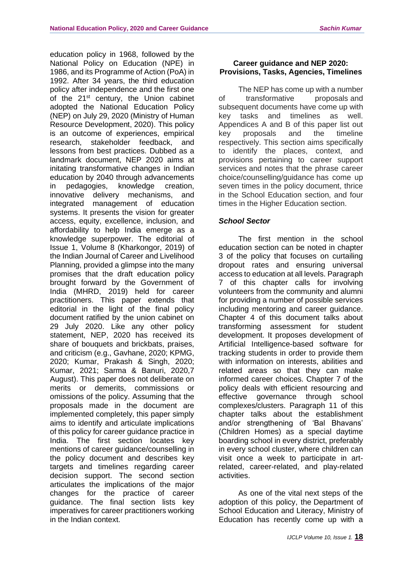education policy in 1968, followed by the National Policy on Education (NPE) in 1986, and its Programme of Action (PoA) in 1992. After 34 years, the third education policy after independence and the first one of the 21<sup>st</sup> century, the Union cabinet adopted the National Education Policy (NEP) on July 29, 2020 (Ministry of Human Resource Development, 2020). This policy is an outcome of experiences, empirical research, stakeholder feedback, and lessons from best practices. Dubbed as a landmark document, NEP 2020 aims at initating transformative changes in Indian education by 2040 through advancements in pedagogies, knowledge creation, innovative delivery mechanisms, and integrated management of education systems. It presents the vision for greater access, equity, excellence, inclusion, and affordability to help India emerge as a knowledge superpower. The editorial of Issue 1, Volume 8 (Kharkongor, 2019) of the Indian Journal of Career and Livelihood Planning, provided a glimpse into the many promises that the draft education policy brought forward by the Government of India (MHRD, 2019) held for career practitioners. This paper extends that editorial in the light of the final policy document ratified by the union cabinet on 29 July 2020. Like any other policy statement, NEP, 2020 has received its share of bouquets and brickbats, praises, and criticism (e.g., Gavhane, 2020; KPMG, 2020; Kumar, Prakash & Singh, 2020; Kumar, 2021; Sarma & Banuri, 2020,7 August). This paper does not deliberate on merits or demerits, commissions or omissions of the policy. Assuming that the proposals made in the document are implemented completely, this paper simply aims to identify and articulate implications of this policy for career guidance practice in India. The first section locates key mentions of career guidance/counselling in the policy document and describes key targets and timelines regarding career decision support. The second section articulates the implications of the major changes for the practice of career guidance. The final section lists key imperatives for career practitioners working in the Indian context.

# **Career guidance and NEP 2020: Provisions, Tasks, Agencies, Timelines**

The NEP has come up with a number of transformative proposals and subsequent documents have come up with key tasks and timelines as well. Appendices A and B of this paper list out key proposals and the timeline respectively. This section aims specifically to identify the places, context, and provisions pertaining to career support services and notes that the phrase career choice/counselling/guidance has come up seven times in the policy document, thrice in the School Education section, and four times in the Higher Education section.

# *School Sector*

The first mention in the school education section can be noted in chapter 3 of the policy that focuses on curtailing dropout rates and ensuring universal access to education at all levels. Paragraph 7 of this chapter calls for involving volunteers from the community and alumni for providing a number of possible services including mentoring and career guidance. Chapter 4 of this document talks about transforming assessment for student development. It proposes development of Artificial Intelligence-based software for tracking students in order to provide them with information on interests, abilities and related areas so that they can make informed career choices. Chapter 7 of the policy deals with efficient resourcing and effective governance through school complexes/clusters. Paragraph 11 of this chapter talks about the establishment and/or strengthening of 'Bal Bhavans' (Children Homes) as a special daytime boarding school in every district, preferably in every school cluster, where children can visit once a week to participate in artrelated, career-related, and play-related activities.

As one of the vital next steps of the adoption of this policy, the Department of School Education and Literacy, Ministry of Education has recently come up with a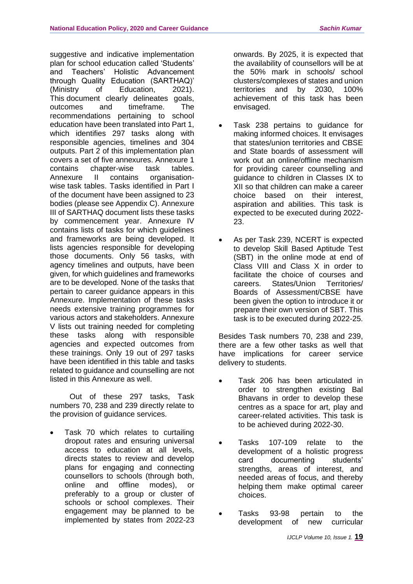suggestive and indicative implementation plan for school education called 'Students' and Teachers' Holistic Advancement through Quality Education (SARTHAQ)' (Ministry of Education, 2021). This document clearly delineates goals, outcomes and timeframe. The recommendations pertaining to school education have been translated into Part 1, which identifies 297 tasks along with responsible agencies, timelines and 304 outputs. Part 2 of this implementation plan covers a set of five annexures. Annexure 1 contains chapter-wise task tables. Annexure II contains organisationwise task tables. Tasks identified in Part I of the document have been assigned to 23 bodies (please see Appendix C). Annexure III of SARTHAQ document lists these tasks by commencement year. Annexure IV contains lists of tasks for which guidelines and frameworks are being developed. It lists agencies responsible for developing those documents. Only 56 tasks, with agency timelines and outputs, have been given, for which guidelines and frameworks are to be developed. None of the tasks that pertain to career guidance appears in this Annexure. Implementation of these tasks needs extensive training programmes for various actors and stakeholders. Annexure V lists out training needed for completing these tasks along with responsible agencies and expected outcomes from these trainings. Only 19 out of 297 tasks have been identified in this table and tasks related to guidance and counselling are not listed in this Annexure as well.

Out of these 297 tasks, Task numbers 70, 238 and 239 directly relate to the provision of guidance services.

• Task 70 which relates to curtailing dropout rates and ensuring universal access to education at all levels, directs states to review and develop plans for engaging and connecting counsellors to schools (through both, online and offline modes), or preferably to a group or cluster of schools or school complexes. Their engagement may be planned to be implemented by states from 2022-23 onwards. By 2025, it is expected that the availability of counsellors will be at the 50% mark in schools/ school clusters/complexes of states and union territories and by 2030, 100% achievement of this task has been envisaged.

- Task 238 pertains to guidance for making informed choices. It envisages that states/union territories and CBSE and State boards of assessment will work out an online/offline mechanism for providing career counselling and guidance to children in Classes IX to XII so that children can make a career choice based on their interest, aspiration and abilities. This task is expected to be executed during 2022- 23.
- As per Task 239, NCERT is expected to develop Skill Based Aptitude Test (SBT) in the online mode at end of Class VIII and Class X in order to facilitate the choice of courses and careers. States/Union Territories/ Boards of Assessment/CBSE have been given the option to introduce it or prepare their own version of SBT. This task is to be executed during 2022-25.

Besides Task numbers 70, 238 and 239, there are a few other tasks as well that have implications for career service delivery to students.

- Task 206 has been articulated in order to strengthen existing Bal Bhavans in order to develop these centres as a space for art, play and career-related activities. This task is to be achieved during 2022-30.
- Tasks 107-109 relate to the development of a holistic progress card documenting students' strengths, areas of interest, and needed areas of focus, and thereby helping them make optimal career choices.
- Tasks 93-98 pertain to the development of new curricular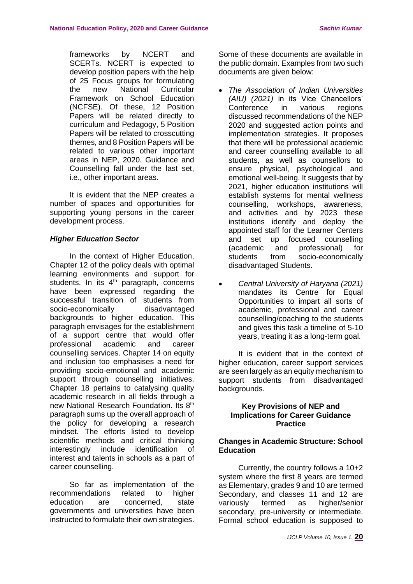frameworks by NCERT and SCERTs. NCERT is expected to develop position papers with the help of 25 Focus groups for formulating the new National Curricular Framework on School Education (NCFSE). Of these, 12 Position Papers will be related directly to curriculum and Pedagogy, 5 Position Papers will be related to crosscutting themes, and 8 Position Papers will be related to various other important areas in NEP, 2020. Guidance and Counselling fall under the last set, i.e., other important areas.

It is evident that the NEP creates a number of spaces and opportunities for supporting young persons in the career development process.

# *Higher Education Sector*

In the context of Higher Education, Chapter 12 of the policy deals with optimal learning environments and support for students. In its  $4<sup>th</sup>$  paragraph, concerns have been expressed regarding the successful transition of students from socio-economically disadvantaged backgrounds to higher education. This paragraph envisages for the establishment of a support centre that would offer professional academic and career counselling services. Chapter 14 on equity and inclusion too emphasises a need for providing socio-emotional and academic support through counselling initiatives. Chapter 18 pertains to catalysing quality academic research in all fields through a new National Research Foundation. Its 8th paragraph sums up the overall approach of the policy for developing a research mindset. The efforts listed to develop scientific methods and critical thinking interestingly include identification of interest and talents in schools as a part of career counselling.

So far as implementation of the recommendations related to higher education are concerned, state governments and universities have been instructed to formulate their own strategies. Some of these documents are available in the public domain. Examples from two such documents are given below:

- *The Association of Indian Universities (AIU) (2021)* in its Vice Chancellors' Conference in various regions discussed recommendations of the NEP 2020 and suggested action points and implementation strategies. It proposes that there will be professional academic and career counselling available to all students, as well as counsellors to ensure physical, psychological and emotional well-being. It suggests that by 2021, higher education institutions will establish systems for mental wellness counselling, workshops, awareness, and activities and by 2023 these institutions identify and deploy the appointed staff for the Learner Centers and set up focused counselling (academic and professional) for students from socio-economically disadvantaged Students.
- *Central University of Haryana (2021)* mandates its Centre for Equal Opportunities to impart all sorts of academic, professional and career counselling/coaching to the students and gives this task a timeline of 5-10 years, treating it as a long-term goal.

It is evident that in the context of higher education, career support services are seen largely as an equity mechanism to support students from disadvantaged backgrounds.

#### **Key Provisions of NEP and Implications for Career Guidance Practice**

## **Changes in Academic Structure: School Education**

Currently, the country follows a 10+2 system where the first 8 years are termed as Elementary, grades 9 and 10 are termed Secondary, and classes 11 and 12 are variously termed as higher/senior secondary, pre-university or intermediate. Formal school education is supposed to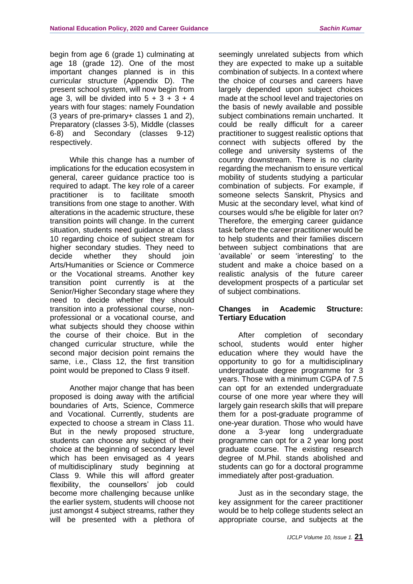begin from age 6 (grade 1) culminating at age 18 (grade 12). One of the most important changes planned is in this curricular structure (Appendix D). The present school system, will now begin from age 3, will be divided into  $5 + 3 + 3 + 4$ years with four stages: namely Foundation (3 years of pre-primary+ classes 1 and 2), Preparatory (classes 3-5), Middle (classes 6-8) and Secondary (classes 9-12) respectively.

While this change has a number of implications for the education ecosystem in general, career guidance practice too is required to adapt. The key role of a career practitioner is to facilitate smooth transitions from one stage to another. With alterations in the academic structure, these transition points will change. In the current situation, students need guidance at class 10 regarding choice of subject stream for higher secondary studies. They need to decide whether they should join Arts/Humanities or Science or Commerce or the Vocational streams. Another key transition point currently is at the Senior/Higher Secondary stage where they need to decide whether they should transition into a professional course, nonprofessional or a vocational course, and what subjects should they choose within the course of their choice. But in the changed curricular structure, while the second major decision point remains the same, i.e., Class 12, the first transition point would be preponed to Class 9 itself.

Another major change that has been proposed is doing away with the artificial boundaries of Arts, Science, Commerce and Vocational. Currently, students are expected to choose a stream in Class 11. But in the newly proposed structure, students can choose any subject of their choice at the beginning of secondary level which has been envisaged as 4 years of multidisciplinary study beginning at Class 9. While this will afford greater flexibility, the counsellors' job could become more challenging because unlike the earlier system, students will choose not just amongst 4 subject streams, rather they will be presented with a plethora of

seemingly unrelated subjects from which they are expected to make up a suitable combination of subjects. In a context where the choice of courses and careers have largely depended upon subject choices made at the school level and trajectories on the basis of newly available and possible subject combinations remain uncharted. It could be really difficult for a career practitioner to suggest realistic options that connect with subjects offered by the college and university systems of the country downstream. There is no clarity regarding the mechanism to ensure vertical mobility of students studying a particular combination of subjects. For example, if someone selects Sanskrit, Physics and Music at the secondary level, what kind of courses would s/he be eligible for later on? Therefore, the emerging career guidance task before the career practitioner would be to help students and their families discern between subject combinations that are 'available' or seem 'interesting' to the student and make a choice based on a realistic analysis of the future career development prospects of a particular set of subject combinations.

## **Changes in Academic Structure: Tertiary Education**

After completion of secondary school, students would enter higher education where they would have the opportunity to go for a multidisciplinary undergraduate degree programme for 3 years. Those with a minimum CGPA of 7.5 can opt for an extended undergraduate course of one more year where they will largely gain research skills that will prepare them for a post-graduate programme of one-year duration. Those who would have done a 3-year long undergraduate programme can opt for a 2 year long post graduate course. The existing research degree of M.Phil. stands abolished and students can go for a doctoral programme immediately after post-graduation.

Just as in the secondary stage, the key assignment for the career practitioner would be to help college students select an appropriate course, and subjects at the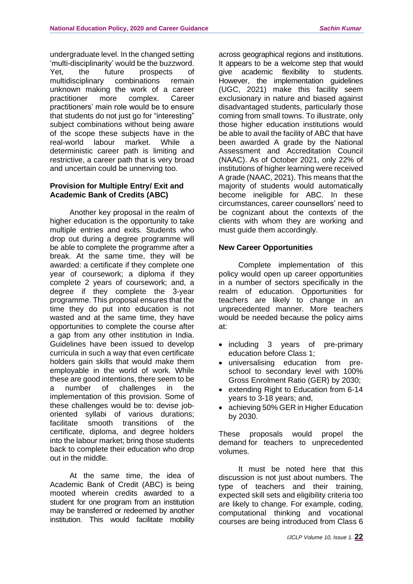undergraduate level. In the changed setting 'multi-disciplinarity' would be the buzzword. Yet, the future prospects of<br>multidisciplinary combinations remain multidisciplinary combinations remain unknown making the work of a career practitioner more complex. Career practitioners' main role would be to ensure that students do not just go for "interesting" subject combinations without being aware of the scope these subjects have in the real-world labour market. While a deterministic career path is limiting and restrictive, a career path that is very broad and uncertain could be unnerving too.

# **Provision for Multiple Entry/ Exit and Academic Bank of Credits (ABC)**

Another key proposal in the realm of higher education is the opportunity to take multiple entries and exits. Students who drop out during a degree programme will be able to complete the programme after a break. At the same time, they will be awarded: a certificate if they complete one year of coursework; a diploma if they complete 2 years of coursework; and, a degree if they complete the 3-year programme. This proposal ensures that the time they do put into education is not wasted and at the same time, they have opportunities to complete the course after a gap from any other institution in India. Guidelines have been issued to develop curricula in such a way that even certificate holders gain skills that would make them employable in the world of work. While these are good intentions, there seem to be a number of challenges in the implementation of this provision. Some of these challenges would be to: devise joboriented syllabi of various durations; facilitate smooth transitions of the certificate, diploma, and degree holders into the labour market; bring those students back to complete their education who drop out in the middle.

At the same time, the idea of Academic Bank of Credit (ABC) is being mooted wherein credits awarded to a student for one program from an institution may be transferred or redeemed by another institution. This would facilitate mobility

across geographical regions and institutions. It appears to be a welcome step that would give academic flexibility to students. However, the implementation quidelines (UGC, 2021) make this facility seem exclusionary in nature and biased against disadvantaged students, particularly those coming from small towns. To illustrate, only those higher education institutions would be able to avail the facility of ABC that have been awarded A grade by the National Assessment and Accreditation Council (NAAC). As of October 2021, only 22% of institutions of higher learning were received A grade (NAAC, 2021). This means that the majority of students would automatically become ineligible for ABC. In these circumstances, career counsellors' need to be cognizant about the contexts of the clients with whom they are working and must guide them accordingly.

## **New Career Opportunities**

Complete implementation of this policy would open up career opportunities in a number of sectors specifically in the realm of education. Opportunities for teachers are likely to change in an unprecedented manner. More teachers would be needed because the policy aims at:

- including 3 years of pre-primary education before Class 1;
- universalising education from preschool to secondary level with 100% Gross Enrolment Ratio (GER) by 2030;
- extending Right to Education from 6-14 years to 3-18 years; and,
- achieving 50% GER in Higher Education by 2030.

These proposals would propel the demand for teachers to unprecedented volumes.

It must be noted here that this discussion is not just about numbers. The type of teachers and their training, expected skill sets and eligibility criteria too are likely to change. For example, coding, computational thinking and vocational courses are being introduced from Class 6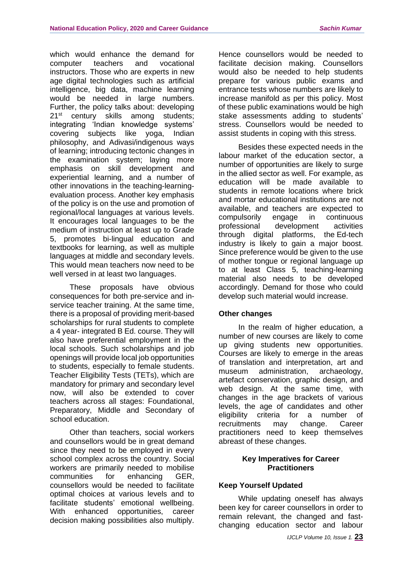which would enhance the demand for computer teachers and vocational instructors. Those who are experts in new age digital technologies such as artificial intelligence, big data, machine learning would be needed in large numbers. Further, the policy talks about: developing 21<sup>st</sup> century skills among students; integrating 'Indian knowledge systems' covering subjects like yoga, Indian philosophy, and Adivasi/indigenous ways of learning; introducing tectonic changes in the examination system; laying more emphasis on skill development and experiential learning, and a number of other innovations in the teaching-learningevaluation process. Another key emphasis of the policy is on the use and promotion of regional/local languages at various levels. It encourages local languages to be the medium of instruction at least up to Grade 5, promotes bi-lingual education and textbooks for learning, as well as multiple languages at middle and secondary levels. This would mean teachers now need to be well versed in at least two languages.

These proposals have obvious consequences for both pre-service and inservice teacher training. At the same time, there is a proposal of providing merit-based scholarships for rural students to complete a 4 year- integrated B Ed. course. They will also have preferential employment in the local schools. Such scholarships and job openings will provide local job opportunities to students, especially to female students. Teacher Eligibility Tests (TETs), which are mandatory for primary and secondary level now, will also be extended to cover teachers across all stages: Foundational, Preparatory, Middle and Secondary of school education.

Other than teachers, social workers and counsellors would be in great demand since they need to be employed in every school complex across the country. Social workers are primarily needed to mobilise communities for enhancing GER, counsellors would be needed to facilitate optimal choices at various levels and to facilitate students' emotional wellbeing. With enhanced opportunities, career decision making possibilities also multiply. Hence counsellors would be needed to facilitate decision making. Counsellors would also be needed to help students prepare for various public exams and entrance tests whose numbers are likely to increase manifold as per this policy. Most of these public examinations would be high stake assessments adding to students' stress. Counsellors would be needed to assist students in coping with this stress.

Besides these expected needs in the labour market of the education sector, a number of opportunities are likely to surge in the allied sector as well. For example, as education will be made available to students in remote locations where brick and mortar educational institutions are not available, and teachers are expected to compulsorily engage in continuous professional development activities through digital platforms, the Ed-tech industry is likely to gain a major boost. Since preference would be given to the use of mother tongue or regional language up to at least Class 5, teaching-learning material also needs to be developed accordingly. Demand for those who could develop such material would increase.

## **Other changes**

In the realm of higher education, a number of new courses are likely to come up giving students new opportunities. Courses are likely to emerge in the areas of translation and interpretation, art and museum administration, archaeology, artefact conservation, graphic design, and web design. At the same time, with changes in the age brackets of various levels, the age of candidates and other eligibility criteria for a number of recruitments may change. Career practitioners need to keep themselves abreast of these changes.

#### **Key Imperatives for Career Practitioners**

## **Keep Yourself Updated**

While updating oneself has always been key for career counsellors in order to remain relevant, the changed and fastchanging education sector and labour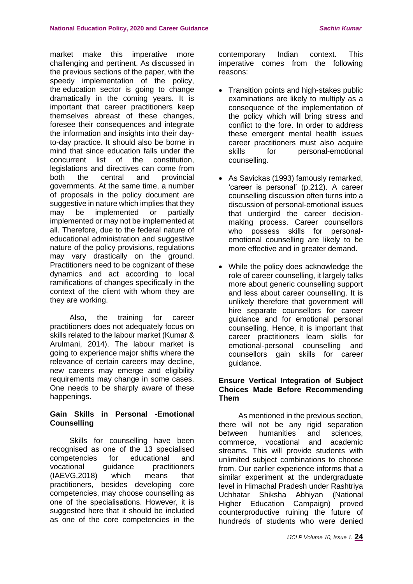market make this imperative more challenging and pertinent. As discussed in the previous sections of the paper, with the speedy implementation of the policy, the education sector is going to change dramatically in the coming years. It is important that career practitioners keep themselves abreast of these changes, foresee their consequences and integrate the information and insights into their dayto-day practice. It should also be borne in mind that since education falls under the concurrent list of the constitution, legislations and directives can come from both the central and provincial governments. At the same time, a number of proposals in the policy document are suggestive in nature which implies that they may be implemented or partially implemented or may not be implemented at all. Therefore, due to the federal nature of educational administration and suggestive nature of the policy provisions, regulations may vary drastically on the ground. Practitioners need to be cognizant of these dynamics and act according to local ramifications of changes specifically in the context of the client with whom they are they are working.

Also, the training for career practitioners does not adequately focus on skills related to the labour market (Kumar & Arulmani, 2014). The labour market is going to experience major shifts where the relevance of certain careers may decline, new careers may emerge and eligibility requirements may change in some cases. One needs to be sharply aware of these happenings.

## **Gain Skills in Personal -Emotional Counselling**

Skills for counselling have been recognised as one of the 13 specialised competencies for educational and vocational guidance practitioners (IAEVG,2018) which means that practitioners, besides developing core competencies, may choose counselling as one of the specialisations. However, it is suggested here that it should be included as one of the core competencies in the

contemporary Indian context. This imperative comes from the following reasons:

- Transition points and high-stakes public examinations are likely to multiply as a consequence of the implementation of the policy which will bring stress and conflict to the fore. In order to address these emergent mental health issues career practitioners must also acquire skills for personal-emotional counselling.
- As Savickas (1993) famously remarked, 'career is personal' (p.212). A career counselling discussion often turns into a discussion of personal-emotional issues that undergird the career decisionmaking process. Career counsellors who possess skills for personalemotional counselling are likely to be more effective and in greater demand.
- While the policy does acknowledge the role of career counselling, it largely talks more about generic counselling support and less about career counselling. It is unlikely therefore that government will hire separate counsellors for career guidance and for emotional personal counselling. Hence, it is important that career practitioners learn skills for emotional-personal counselling and counsellors gain skills for career guidance.

## **Ensure Vertical Integration of Subject Choices Made Before Recommending Them**

As mentioned in the previous section, there will not be any rigid separation between humanities and sciences, commerce, vocational and academic streams. This will provide students with unlimited subject combinations to choose from. Our earlier experience informs that a similar experiment at the undergraduate level in Himachal Pradesh under Rashtriya Uchhatar Shiksha Abhiyan (National Higher Education Campaign) proved counterproductive ruining the future of hundreds of students who were denied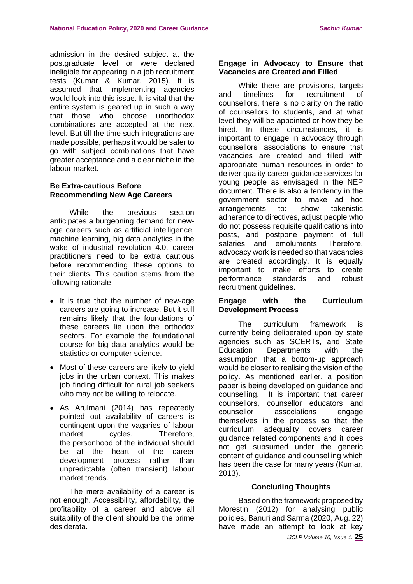admission in the desired subject at the postgraduate level or were declared ineligible for appearing in a job recruitment tests (Kumar & Kumar, 2015). It is assumed that implementing agencies would look into this issue. It is vital that the entire system is geared up in such a way that those who choose unorthodox combinations are accepted at the next level. But till the time such integrations are made possible, perhaps it would be safer to go with subject combinations that have greater acceptance and a clear niche in the labour market.

# **Be Extra-cautious Before Recommending New Age Careers**

While the previous section anticipates a burgeoning demand for newage careers such as artificial intelligence, machine learning, big data analytics in the wake of industrial revolution 4.0, career practitioners need to be extra cautious before recommending these options to their clients. This caution stems from the following rationale:

- It is true that the number of new-age careers are going to increase. But it still remains likely that the foundations of these careers lie upon the orthodox sectors. For example the foundational course for big data analytics would be statistics or computer science.
- Most of these careers are likely to yield jobs in the urban context. This makes job finding difficult for rural job seekers who may not be willing to relocate.
- As Arulmani (2014) has repeatedly pointed out availability of careers is contingent upon the vagaries of labour market cycles. Therefore, the personhood of the individual should be at the heart of the career development process rather than unpredictable (often transient) labour market trends.

The mere availability of a career is not enough. Accessibility, affordability, the profitability of a career and above all suitability of the client should be the prime desiderata.

#### **Engage in Advocacy to Ensure that Vacancies are Created and Filled**

While there are provisions, targets and timelines for recruitment of counsellors, there is no clarity on the ratio of counsellors to students, and at what level they will be appointed or how they be hired. In these circumstances, it is important to engage in advocacy through counsellors' associations to ensure that vacancies are created and filled with appropriate human resources in order to deliver quality career guidance services for young people as envisaged in the NEP document. There is also a tendency in the government sector to make ad hoc arrangements to: show tokenistic adherence to directives, adjust people who do not possess requisite qualifications into posts, and postpone payment of full salaries and emoluments. Therefore, advocacy work is needed so that vacancies are created accordingly. It is equally important to make efforts to create performance standards and robust recruitment guidelines.

#### **Engage with the Curriculum Development Process**

The curriculum framework is currently being deliberated upon by state agencies such as SCERTs, and State Education Departments with the assumption that a bottom-up approach would be closer to realising the vision of the policy. As mentioned earlier, a position paper is being developed on guidance and counselling. It is important that career counsellors, counsellor educators and associations engage themselves in the process so that the curriculum adequality covers career guidance related components and it does not get subsumed under the generic content of guidance and counselling which has been the case for many years (Kumar, 2013).

## **Concluding Thoughts**

Based on the framework proposed by Morestin (2012) for analysing public policies, Banuri and Sarma (2020, Aug. 22) have made an attempt to look at key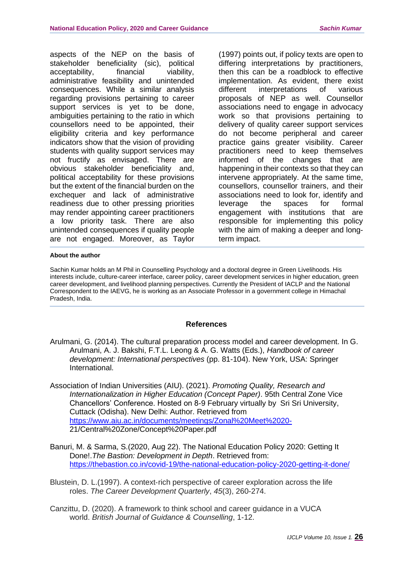aspects of the NEP on the basis of stakeholder beneficiality (sic), political acceptability, financial viability, administrative feasibility and unintended consequences. While a similar analysis regarding provisions pertaining to career support services is yet to be done, ambiguities pertaining to the ratio in which counsellors need to be appointed, their eligibility criteria and key performance indicators show that the vision of providing students with quality support services may not fructify as envisaged. There are obvious stakeholder beneficiality and, political acceptability for these provisions but the extent of the financial burden on the exchequer and lack of administrative readiness due to other pressing priorities may render appointing career practitioners a low priority task. There are also unintended consequences if quality people are not engaged. Moreover, as Taylor

(1997) points out, if policy texts are open to differing interpretations by practitioners, then this can be a roadblock to effective implementation. As evident, there exist different interpretations of various proposals of NEP as well. Counsellor associations need to engage in advocacy work so that provisions pertaining to delivery of quality career support services do not become peripheral and career practice gains greater visibility. Career practitioners need to keep themselves informed of the changes that are happening in their contexts so that they can intervene appropriately. At the same time, counsellors, counsellor trainers, and their associations need to look for, identify and leverage the spaces for formal engagement with institutions that are responsible for implementing this policy with the aim of making a deeper and longterm impact.

#### **About the author**

Sachin Kumar holds an M Phil in Counselling Psychology and a doctoral degree in Green Livelihoods. His interests include, culture-career interface, career policy, career development services in higher education, green career development, and livelihood planning perspectives. Currently the President of IACLP and the National Correspondent to the IAEVG, he is working as an Associate Professor in a government college in Himachal Pradesh, India.

#### **References**

- Arulmani, G. (2014). The cultural preparation process model and career development. In G. Arulmani, A. J. Bakshi, F.T.L. Leong & A. G. Watts (Eds.), *Handbook of career development: International perspectives* (pp. 81-104). New York, USA: Springer International.
- Association of Indian Universities (AIU). (2021). *Promoting Quality, Research and Internationalization in Higher Education (Concept Paper)*. 95th Central Zone Vice Chancellors' Conference. Hosted on 8-9 February virtually by Sri Sri University, Cuttack (Odisha). New Delhi: Author. Retrieved from <https://www.aiu.ac.in/documents/meetings/Zonal%20Meet%2020-> 21/Central%20Zone/Concept%20Paper.pdf
- Banuri, M. & Sarma, S.(2020, Aug 22). The National Education Policy 2020: Getting It Done!.*The Bastion: Development in Depth*. Retrieved from: <https://thebastion.co.in/covid-19/the-national-education-policy-2020-getting-it-done/>
- Blustein, D. L.(1997). A context‐rich perspective of career exploration across the life roles. *The Career Development Quarterly*, *45*(3), 260-274.
- Canzittu, D. (2020). A framework to think school and career guidance in a VUCA world. *British Journal of Guidance & Counselling*, 1-12.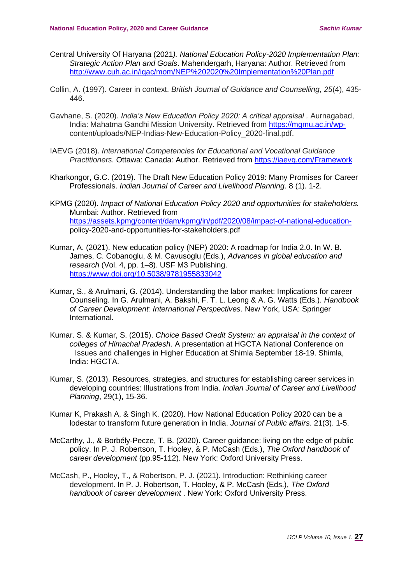- Central University Of Haryana (2021*). National Education Policy-2020 Implementation Plan: Strategic Action Plan and Goals*. Mahendergarh, Haryana: Author. Retrieved from <http://www.cuh.ac.in/iqac/mom/NEP%202020%20Implementation%20Plan.pdf>
- Collin, A. (1997). Career in context. *British Journal of Guidance and Counselling*, *25*(4), 435- 446.
- Gavhane, S. (2020). *India's New Education Policy 2020: A critical appraisal .* Aurnagabad, India: Mahatma Gandhi Mission University. Retrieved from [https://mgmu.ac.in/wp](https://mgmu.ac.in/wp-)content/uploads/NEP-Indias-New-Education-Policy\_2020-final.pdf.
- IAEVG (2018). *International Competencies for Educational and Vocational Guidance Practitioners.* Ottawa: Canada: Author. Retrieved from<https://iaevg.com/Framework>
- Kharkongor, G.C. (2019). The Draft New Education Policy 2019: Many Promises for Career Professionals. *Indian Journal of Career and Livelihood Planning*. 8 (1). 1-2.
- KPMG (2020). *Impact of National Education Policy 2020 and opportunities for stakeholders.*  Mumbai: Author*.* Retrieved from [https://assets.kpmg/content/dam/kpmg/in/pdf/2020/08/impact-of-national-education](https://assets.kpmg/content/dam/kpmg/in/pdf/2020/08/impact-of-national-education-)policy-2020-and-opportunities-for-stakeholders.pdf
- Kumar, A. (2021). New education policy (NEP) 2020: A roadmap for India 2.0. In W. B. James, C. Cobanoglu, & M. Cavusoglu (Eds.), *Advances in global education and research* (Vol. 4, pp. 1–8). USF M3 Publishing. <https://www.doi.org/10.5038/9781955833042>
- Kumar, S., & Arulmani, G. (2014). Understanding the labor market: Implications for career Counseling. In G. Arulmani, A. Bakshi, F. T. L. Leong & A. G. Watts (Eds.). *Handbook of Career Development: International Perspectives*. New York, USA: Springer International.
- Kumar. S. & Kumar, S. (2015). *Choice Based Credit System: an appraisal in the context of colleges of Himachal Pradesh*. A presentation at HGCTA National Conference on Issues and challenges in Higher Education at Shimla September 18-19. Shimla, India: HGCTA.
- Kumar, S. (2013). Resources, strategies, and structures for establishing career services in developing countries: Illustrations from India. *Indian Journal of Career and Livelihood Planning*, 29(1), 15-36.
- Kumar K, Prakash A, & Singh K. (2020). How National Education Policy 2020 can be a lodestar to transform future generation in India. *Journal of Public affairs*. 21(3). 1-5.
- McCarthy, J., & Borbély-Pecze, T. B. (2020). Career guidance: living on the edge of public policy. In P. J. Robertson, T. Hooley, & P. McCash (Eds.), *The Oxford handbook of career development* (pp.95-112). New York: Oxford University Press.
- McCash, P., Hooley, T., & Robertson, P. J. (2021). Introduction: Rethinking career development. In P. J. Robertson, T. Hooley, & P. McCash (Eds.), *The Oxford handbook of career development* . New York: Oxford University Press.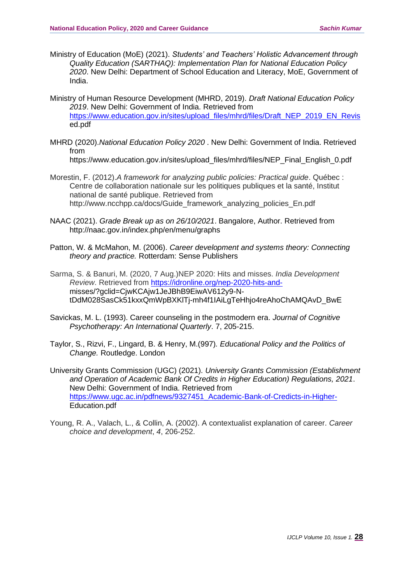- Ministry of Education (MoE) (2021). *Students' and Teachers' Holistic Advancement through Quality Education (SARTHAQ): Implementation Plan for National Education Policy 2020*. New Delhi: Department of School Education and Literacy, MoE, Government of India.
- Ministry of Human Resource Development (MHRD, 2019). *Draft National Education Policy 2019*. New Delhi: Government of India. Retrieved from [https://www.education.gov.in/sites/upload\\_files/mhrd/files/Draft\\_NEP\\_2019\\_EN\\_Revis](https://www.education.gov.in/sites/upload_files/mhrd/files/Draft_NEP_2019_EN_Revis) ed.pdf
- MHRD (2020).*National Education Policy 2020* . New Delhi: Government of India. Retrieved from

https://www.education.gov.in/sites/upload\_files/mhrd/files/NEP\_Final\_English\_0.pdf

- Morestin, F. (2012).*A framework for analyzing public policies: Practical guide*. Québec : Centre de collaboration nationale sur les politiques publiques et la santé, Institut national de santé publique. Retrieved from http://www.ncchpp.ca/docs/Guide\_framework\_analyzing\_policies\_En.pdf
- NAAC (2021). *Grade Break up as on 26/10/2021*. Bangalore, Author. Retrieved from http://naac.gov.in/index.php/en/menu/graphs
- Patton, W. & McMahon, M. (2006). *Career development and systems theory: Connecting theory and practice.* Rotterdam: Sense Publishers
- Sarma, S. & Banuri, M. (2020, 7 Aug.)NEP 2020: Hits and misses. *India Development Review*. Retrieved from [https://idronline.org/nep-2020-hits-and](https://idronline.org/nep-2020-hits-and-)misses/?gclid=CjwKCAjw1JeJBhB9EiwAV612y9-NtDdM028SasCk51kxxQmWpBXKlTj-mh4f1IAiLgTeHhjo4reAhoChAMQAvD\_BwE
- Savickas, M. L. (1993). Career counseling in the postmodern era. *Journal of Cognitive Psychotherapy: An International Quarterly*. 7, 205-215.
- Taylor, S., Rizvi, F., Lingard, B. & Henry, M.(997)*. Educational Policy and the Politics of Change.* Routledge. London

University Grants Commission (UGC) (2021). *University Grants Commission (Establishment and Operation of Academic Bank Of Credits in Higher Education) Regulations, 2021*. New Delhi: Government of India. Retrieved from [https://www.ugc.ac.in/pdfnews/9327451\\_Academic-Bank-of-Credicts-in-Higher-](https://www.ugc.ac.in/pdfnews/9327451_Academic-Bank-of-Credicts-in-Higher-)Education.pdf

Young, R. A., Valach, L., & Collin, A. (2002). A contextualist explanation of career. *Career choice and development*, *4*, 206-252.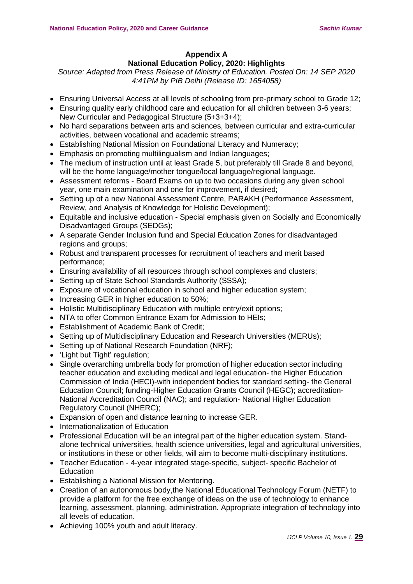# **Appendix A National Education Policy, 2020: Highlights**

*Source: Adapted from Press Release of Ministry of Education. Posted On: 14 SEP 2020 4:41PM by PIB Delhi (Release ID: 1654058)*

- Ensuring Universal Access at all levels of schooling from pre-primary school to Grade 12;
- Ensuring quality early childhood care and education for all children between 3-6 years; New Curricular and Pedagogical Structure (5+3+3+4);
- No hard separations between arts and sciences, between curricular and extra-curricular activities, between vocational and academic streams;
- Establishing National Mission on Foundational Literacy and Numeracy;
- Emphasis on promoting multilingualism and Indian languages;
- The medium of instruction until at least Grade 5, but preferably till Grade 8 and beyond, will be the home language/mother tongue/local language/regional language.
- Assessment reforms Board Exams on up to two occasions during any given school year, one main examination and one for improvement, if desired;
- Setting up of a new National Assessment Centre, PARAKH (Performance Assessment, Review, and Analysis of Knowledge for Holistic Development);
- Equitable and inclusive education Special emphasis given on Socially and Economically Disadvantaged Groups (SEDGs);
- A separate Gender Inclusion fund and Special Education Zones for disadvantaged regions and groups;
- Robust and transparent processes for recruitment of teachers and merit based performance;
- Ensuring availability of all resources through school complexes and clusters;
- Setting up of State School Standards Authority (SSSA);
- Exposure of vocational education in school and higher education system;
- Increasing GER in higher education to 50%;
- Holistic Multidisciplinary Education with multiple entry/exit options;
- NTA to offer Common Entrance Exam for Admission to HEIs;
- Establishment of Academic Bank of Credit;
- Setting up of Multidisciplinary Education and Research Universities (MERUs);
- Setting up of National Research Foundation (NRF);
- 'Light but Tight' regulation;
- Single overarching umbrella body for promotion of higher education sector including teacher education and excluding medical and legal education- the Higher Education Commission of India (HECI)-with independent bodies for standard setting- the General Education Council; funding-Higher Education Grants Council (HEGC); accreditation-National Accreditation Council (NAC); and regulation- National Higher Education Regulatory Council (NHERC);
- Expansion of open and distance learning to increase GER.
- Internationalization of Education
- Professional Education will be an integral part of the higher education system. Standalone technical universities, health science universities, legal and agricultural universities, or institutions in these or other fields, will aim to become multi-disciplinary institutions.
- Teacher Education 4-year integrated stage-specific, subject- specific Bachelor of **Education**
- Establishing a National Mission for Mentoring.
- Creation of an autonomous body,the National Educational Technology Forum (NETF) to provide a platform for the free exchange of ideas on the use of technology to enhance learning, assessment, planning, administration. Appropriate integration of technology into all levels of education.
- Achieving 100% youth and adult literacy.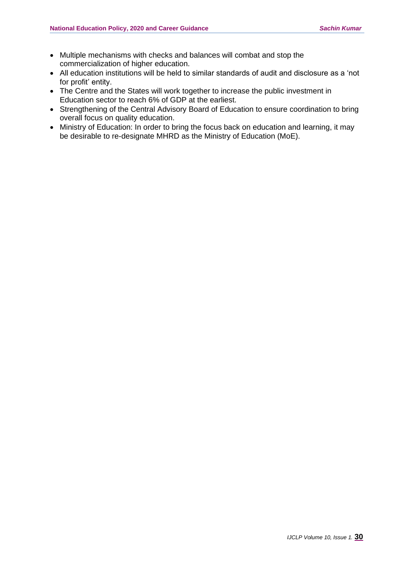- Multiple mechanisms with checks and balances will combat and stop the commercialization of higher education.
- All education institutions will be held to similar standards of audit and disclosure as a 'not for profit' entity.
- The Centre and the States will work together to increase the public investment in Education sector to reach 6% of GDP at the earliest.
- Strengthening of the Central Advisory Board of Education to ensure coordination to bring overall focus on quality education.
- Ministry of Education: In order to bring the focus back on education and learning, it may be desirable to re-designate MHRD as the Ministry of Education (MoE).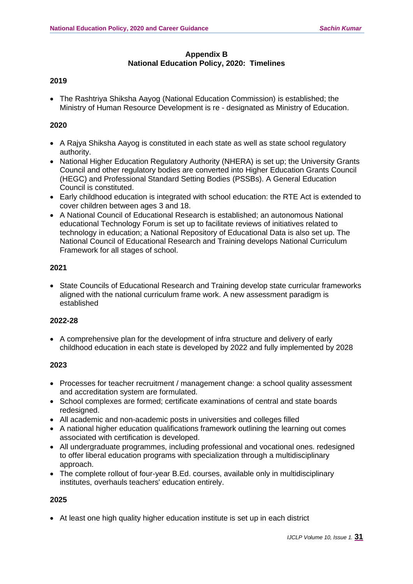#### **Appendix B National Education Policy, 2020: Timelines**

# **2019**

• The Rashtriya Shiksha Aayog (National Education Commission) is established; the Ministry of Human Resource Development is re - designated as Ministry of Education.

#### **2020**

- A Rajya Shiksha Aayog is constituted in each state as well as state school regulatory authority.
- National Higher Education Regulatory Authority (NHERA) is set up; the University Grants Council and other regulatory bodies are converted into Higher Education Grants Council (HEGC) and Professional Standard Setting Bodies (PSSBs). A General Education Council is constituted.
- Early childhood education is integrated with school education: the RTE Act is extended to cover children between ages 3 and 18.
- A National Council of Educational Research is established; an autonomous National educational Technology Forum is set up to facilitate reviews of initiatives related to technology in education; a National Repository of Educational Data is also set up. The National Council of Educational Research and Training develops National Curriculum Framework for all stages of school.

#### **2021**

• State Councils of Educational Research and Training develop state curricular frameworks aligned with the national curriculum frame work. A new assessment paradigm is established

#### **2022-28**

• A comprehensive plan for the development of infra structure and delivery of early childhood education in each state is developed by 2022 and fully implemented by 2028

#### **2023**

- Processes for teacher recruitment / management change: a school quality assessment and accreditation system are formulated.
- School complexes are formed; certificate examinations of central and state boards redesigned.
- All academic and non-academic posts in universities and colleges filled
- A national higher education qualifications framework outlining the learning out comes associated with certification is developed.
- All undergraduate programmes, including professional and vocational ones. redesigned to offer liberal education programs with specialization through a multidisciplinary approach.
- The complete rollout of four-year B.Ed. courses, available only in multidisciplinary institutes, overhauls teachers' education entirely.

#### **2025**

• At least one high quality higher education institute is set up in each district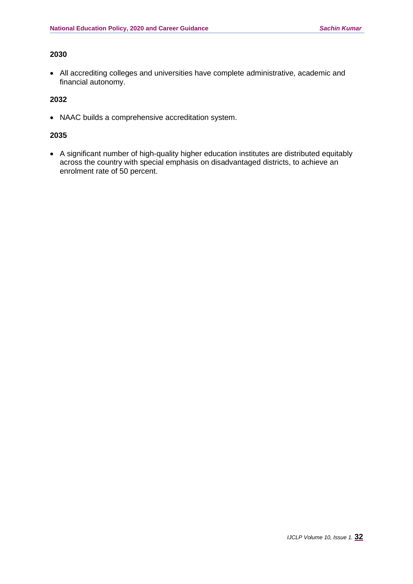#### **2030**

• All accrediting colleges and universities have complete administrative, academic and financial autonomy.

## **2032**

• NAAC builds a comprehensive accreditation system.

## **2035**

• A significant number of high-quality higher education institutes are distributed equitably across the country with special emphasis on disadvantaged districts, to achieve an enrolment rate of 50 percent.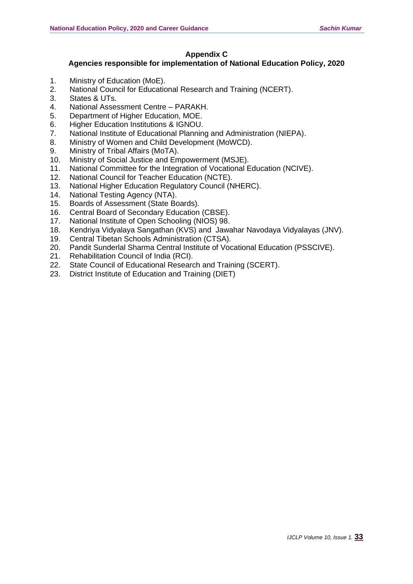# **Appendix C**

# **Agencies responsible for implementation of National Education Policy, 2020**

- 1. Ministry of Education (MoE).
- 2. National Council for Educational Research and Training (NCERT).
- 3. States & UTs.
- 4. National Assessment Centre PARAKH.
- 5. Department of Higher Education, MOE.
- 6. Higher Education Institutions & IGNOU.
- 7. National Institute of Educational Planning and Administration (NIEPA).
- 8. Ministry of Women and Child Development (MoWCD).
- 9. Ministry of Tribal Affairs (MoTA).
- 10. Ministry of Social Justice and Empowerment (MSJE).
- 11. National Committee for the Integration of Vocational Education (NCIVE).
- 12. National Council for Teacher Education (NCTE).
- 13. National Higher Education Regulatory Council (NHERC).
- 14. National Testing Agency (NTA).
- 15. Boards of Assessment (State Boards).
- 16. Central Board of Secondary Education (CBSE).
- 17. National Institute of Open Schooling (NIOS) 98.
- 18. Kendriya Vidyalaya Sangathan (KVS) and Jawahar Navodaya Vidyalayas (JNV).
- 19. Central Tibetan Schools Administration (CTSA).
- 20. Pandit Sunderlal Sharma Central Institute of Vocational Education (PSSCIVE).
- 21. Rehabilitation Council of India (RCI).
- 22. State Council of Educational Research and Training (SCERT).
- 23. District Institute of Education and Training (DIET)